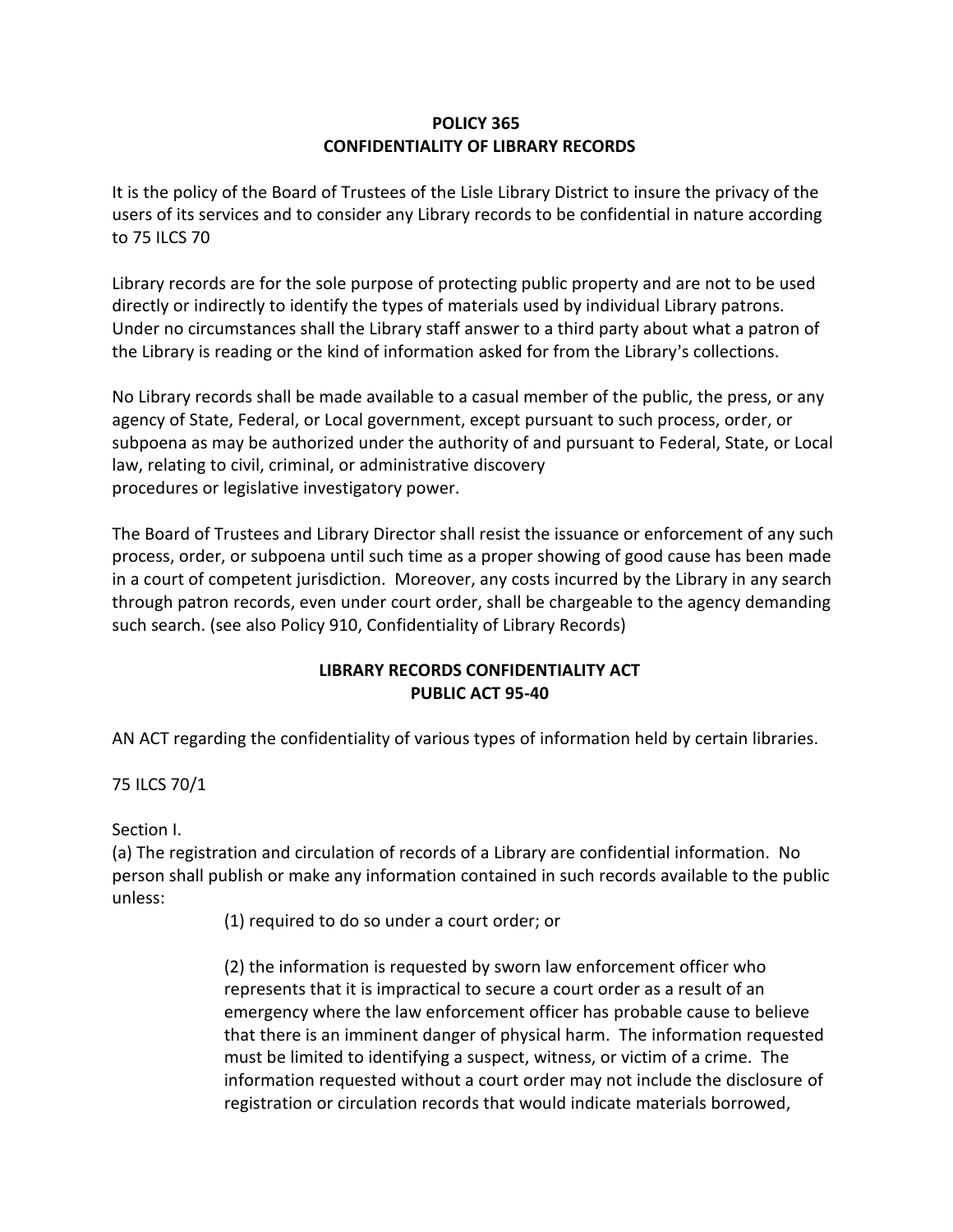## **POLICY 365 CONFIDENTIALITY OF LIBRARY RECORDS**

It is the policy of the Board of Trustees of the Lisle Library District to insure the privacy of the users of its services and to consider any Library records to be confidential in nature according to 75 ILCS 70

Library records are for the sole purpose of protecting public property and are not to be used directly or indirectly to identify the types of materials used by individual Library patrons. Under no circumstances shall the Library staff answer to a third party about what a patron of the Library is reading or the kind of information asked for from the Library's collections.

No Library records shall be made available to a casual member of the public, the press, or any agency of State, Federal, or Local government, except pursuant to such process, order, or subpoena as may be authorized under the authority of and pursuant to Federal, State, or Local law, relating to civil, criminal, or administrative discovery procedures or legislative investigatory power.

The Board of Trustees and Library Director shall resist the issuance or enforcement of any such process, order, or subpoena until such time as a proper showing of good cause has been made in a court of competent jurisdiction. Moreover, any costs incurred by the Library in any search through patron records, even under court order, shall be chargeable to the agency demanding such search. (see also Policy 910, Confidentiality of Library Records)

## **LIBRARY RECORDS CONFIDENTIALITY ACT PUBLIC ACT 95-40**

AN ACT regarding the confidentiality of various types of information held by certain libraries.

75 ILCS 70/1

Section I.

(a) The registration and circulation of records of a Library are confidential information. No person shall publish or make any information contained in such records available to the public unless:

(1) required to do so under a court order; or

(2) the information is requested by sworn law enforcement officer who represents that it is impractical to secure a court order as a result of an emergency where the law enforcement officer has probable cause to believe that there is an imminent danger of physical harm. The information requested must be limited to identifying a suspect, witness, or victim of a crime. The information requested without a court order may not include the disclosure of registration or circulation records that would indicate materials borrowed,